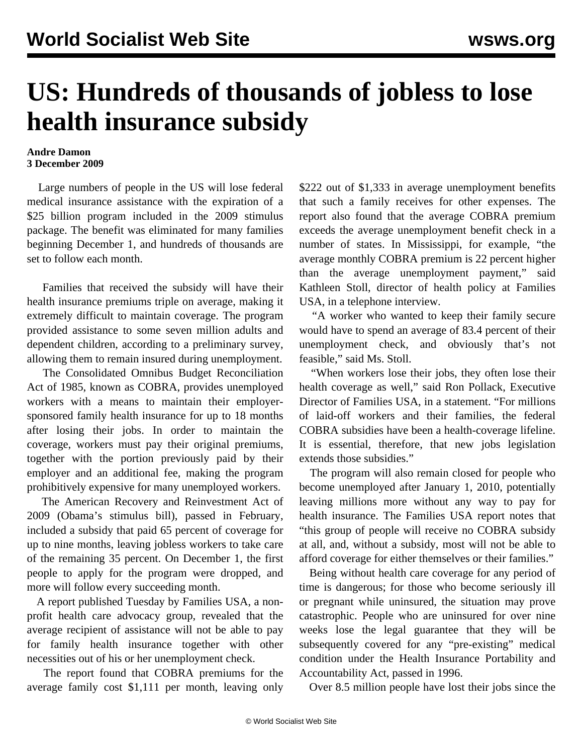## **US: Hundreds of thousands of jobless to lose health insurance subsidy**

## **Andre Damon 3 December 2009**

 Large numbers of people in the US will lose federal medical insurance assistance with the expiration of a \$25 billion program included in the 2009 stimulus package. The benefit was eliminated for many families beginning December 1, and hundreds of thousands are set to follow each month.

 Families that received the subsidy will have their health insurance premiums triple on average, making it extremely difficult to maintain coverage. The program provided assistance to some seven million adults and dependent children, according to a preliminary survey, allowing them to remain insured during unemployment.

 The Consolidated Omnibus Budget Reconciliation Act of 1985, known as COBRA, provides unemployed workers with a means to maintain their employersponsored family health insurance for up to 18 months after losing their jobs. In order to maintain the coverage, workers must pay their original premiums, together with the portion previously paid by their employer and an additional fee, making the program prohibitively expensive for many unemployed workers.

 The American Recovery and Reinvestment Act of 2009 (Obama's stimulus bill), passed in February, included a subsidy that paid 65 percent of coverage for up to nine months, leaving jobless workers to take care of the remaining 35 percent. On December 1, the first people to apply for the program were dropped, and more will follow every succeeding month.

 A report published Tuesday by Families USA, a nonprofit health care advocacy group, revealed that the average recipient of assistance will not be able to pay for family health insurance together with other necessities out of his or her unemployment check.

 The report found that COBRA premiums for the average family cost \$1,111 per month, leaving only \$222 out of \$1,333 in average unemployment benefits that such a family receives for other expenses. The report also found that the average COBRA premium exceeds the average unemployment benefit check in a number of states. In Mississippi, for example, "the average monthly COBRA premium is 22 percent higher than the average unemployment payment," said Kathleen Stoll, director of health policy at Families USA, in a telephone interview.

 "A worker who wanted to keep their family secure would have to spend an average of 83.4 percent of their unemployment check, and obviously that's not feasible," said Ms. Stoll.

 "When workers lose their jobs, they often lose their health coverage as well," said Ron Pollack, Executive Director of Families USA, in a statement. "For millions of laid-off workers and their families, the federal COBRA subsidies have been a health-coverage lifeline. It is essential, therefore, that new jobs legislation extends those subsidies."

 The program will also remain closed for people who become unemployed after January 1, 2010, potentially leaving millions more without any way to pay for health insurance. The Families USA report notes that "this group of people will receive no COBRA subsidy at all, and, without a subsidy, most will not be able to afford coverage for either themselves or their families."

 Being without health care coverage for any period of time is dangerous; for those who become seriously ill or pregnant while uninsured, the situation may prove catastrophic. People who are uninsured for over nine weeks lose the legal guarantee that they will be subsequently covered for any "pre-existing" medical condition under the Health Insurance Portability and Accountability Act, passed in 1996.

Over 8.5 million people have lost their jobs since the